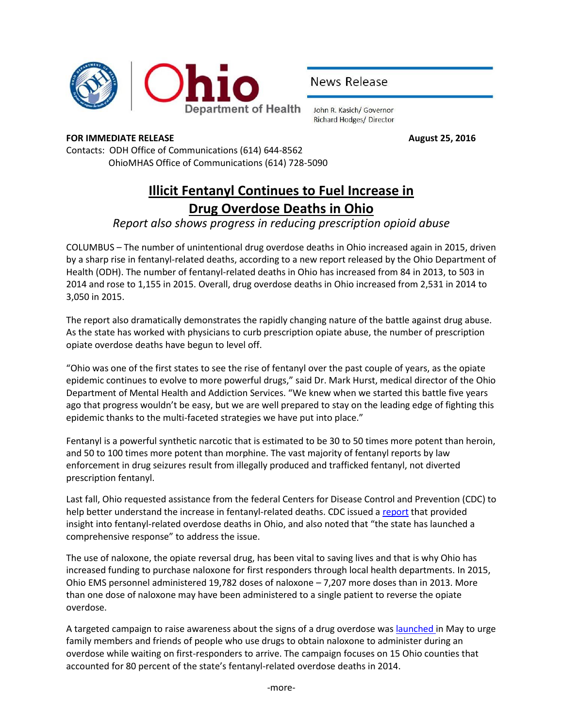

News Release

John R. Kasich/ Governor **Richard Hodges/ Director** 

## **FOR IMMEDIATE RELEASE August 25, 2016**

Contacts: ODH Office of Communications (614) 644-8562 OhioMHAS Office of Communications (614) 728-5090

## **Illicit Fentanyl Continues to Fuel Increase in Drug Overdose Deaths in Ohio**

## *Report also shows progress in reducing prescription opioid abuse*

COLUMBUS – The number of unintentional drug overdose deaths in Ohio increased again in 2015, driven by a sharp rise in fentanyl-related deaths, according to a new report released by the Ohio Department of Health (ODH). The number of fentanyl-related deaths in Ohio has increased from 84 in 2013, to 503 in 2014 and rose to 1,155 in 2015. Overall, drug overdose deaths in Ohio increased from 2,531 in 2014 to 3,050 in 2015.

The report also dramatically demonstrates the rapidly changing nature of the battle against drug abuse. As the state has worked with physicians to curb prescription opiate abuse, the number of prescription opiate overdose deaths have begun to level off.

"Ohio was one of the first states to see the rise of fentanyl over the past couple of years, as the opiate epidemic continues to evolve to more powerful drugs," said Dr. Mark Hurst, medical director of the Ohio Department of Mental Health and Addiction Services. "We knew when we started this battle five years ago that progress wouldn't be easy, but we are well prepared to stay on the leading edge of fighting this epidemic thanks to the multi-faceted strategies we have put into place."

Fentanyl is a powerful synthetic narcotic that is estimated to be 30 to 50 times more potent than heroin, and 50 to 100 times more potent than morphine. The vast majority of fentanyl reports by law enforcement in drug seizures result from illegally produced and trafficked fentanyl, not diverted prescription fentanyl.

Last fall, Ohio requested assistance from the federal Centers for Disease Control and Prevention (CDC) to help better understand the increase in fentanyl-related deaths. CDC issued a [report](http://www.healthy.ohio.gov/~/media/HealthyOhio/ASSETS/Files/injury%20prevention/Ohio%20PDO%20EpiAid%20Trip%20Report_Final%20Draft_3_18_2016.pdf) that provided insight into fentanyl-related overdose deaths in Ohio, and also noted that "the state has launched a comprehensive response" to address the issue.

The use of naloxone, the opiate reversal drug, has been vital to saving lives and that is why Ohio has increased funding to purchase naloxone for first responders through local health departments. In 2015, Ohio EMS personnel administered 19,782 doses of naloxone  $-7,207$  more doses than in 2013. More than one dose of naloxone may have been administered to a single patient to reverse the opiate overdose.

A targeted campaign to raise awareness about the signs of a drug overdose wa[s launched](http://www.odh.ohio.gov/-/media/ODH/ASSETS/Files/news/News-Release----State-Public-Awareness-Campaign-Naloxone.pdf?la=en) in May to urge family members and friends of people who use drugs to obtain naloxone to administer during an overdose while waiting on first-responders to arrive. The campaign focuses on 15 Ohio counties that accounted for 80 percent of the state's fentanyl-related overdose deaths in 2014.